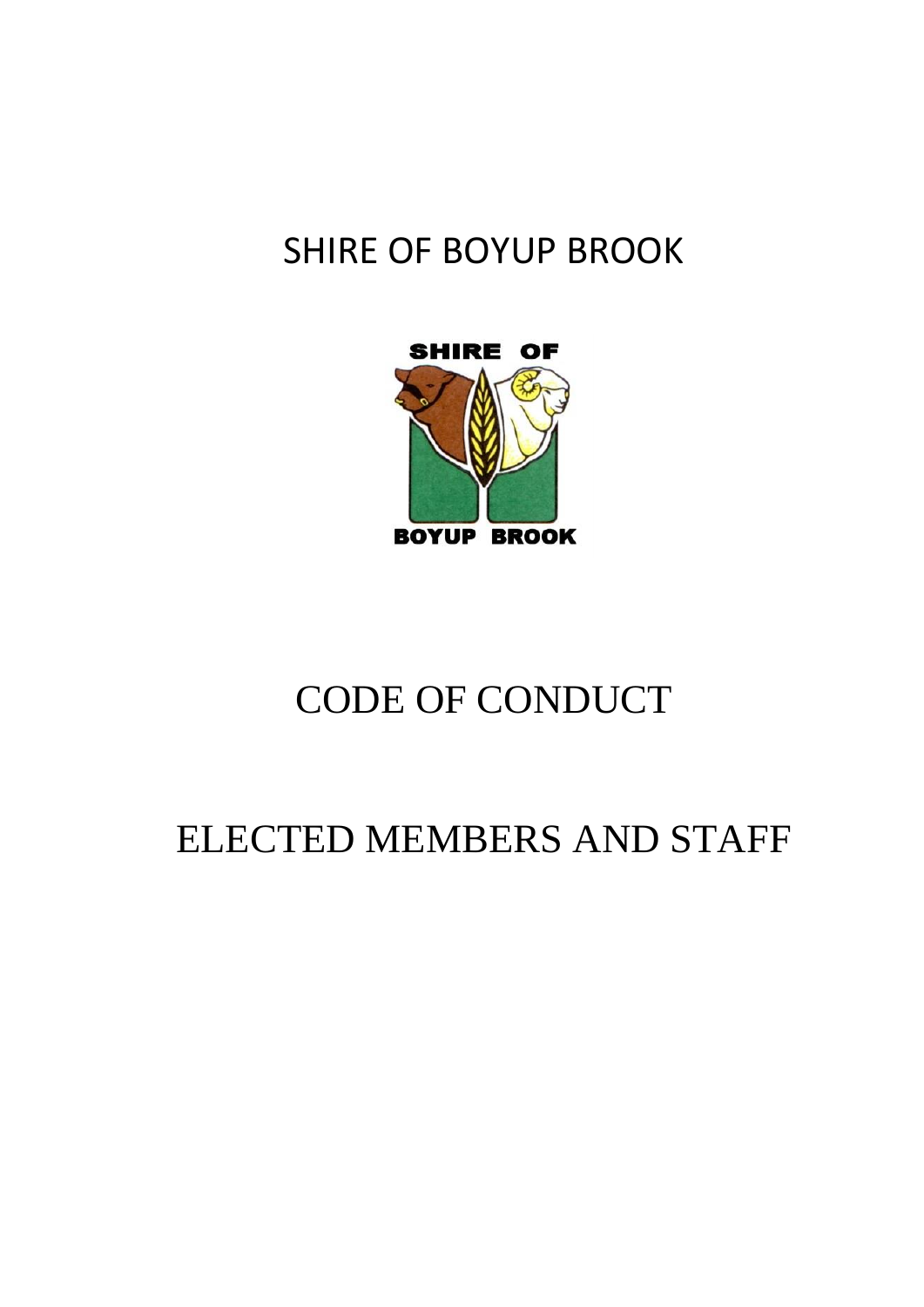## SHIRE OF BOYUP BROOK



## CODE OF CONDUCT

# ELECTED MEMBERS AND STAFF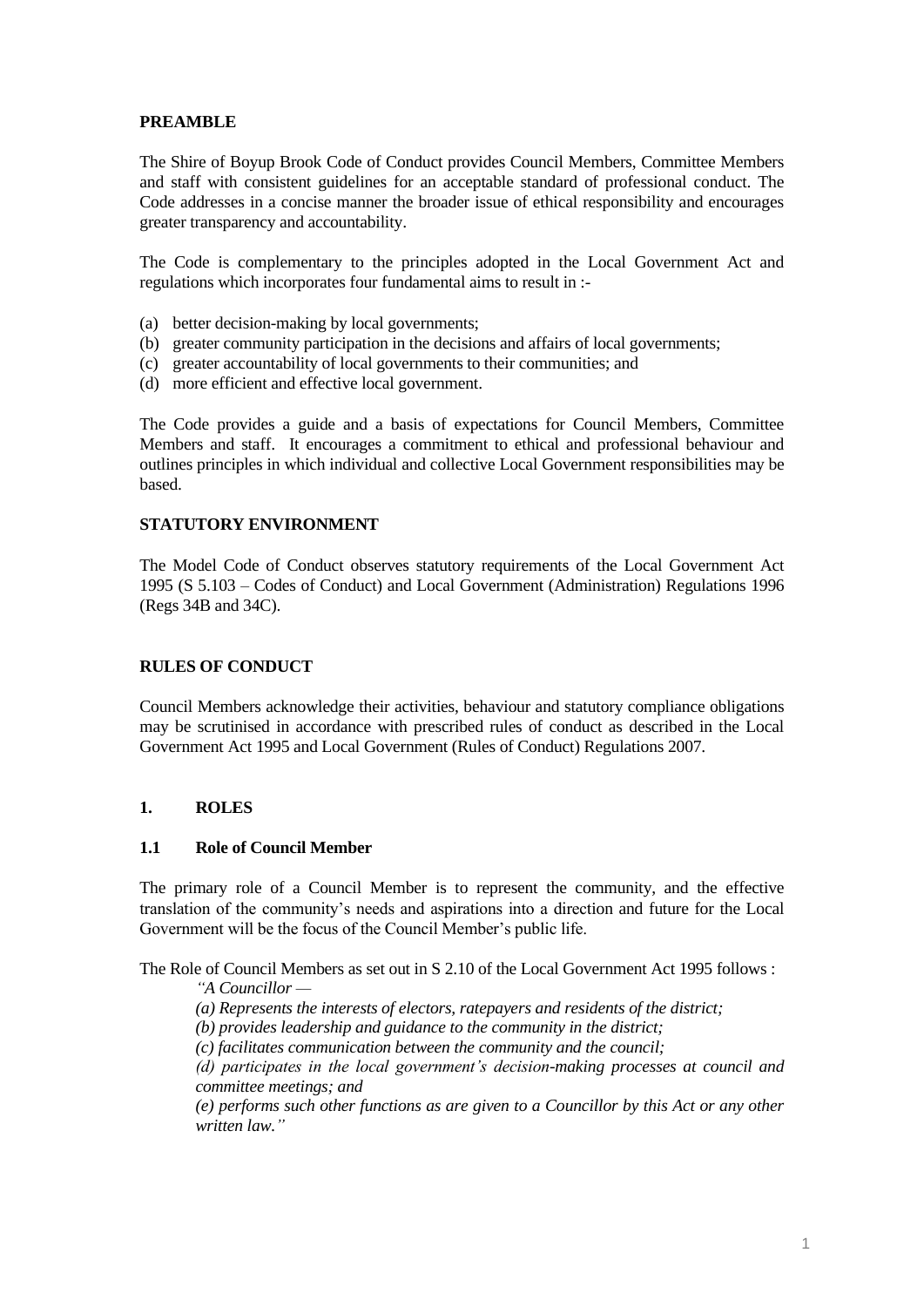## **PREAMBLE**

The Shire of Boyup Brook Code of Conduct provides Council Members, Committee Members and staff with consistent guidelines for an acceptable standard of professional conduct. The Code addresses in a concise manner the broader issue of ethical responsibility and encourages greater transparency and accountability.

The Code is complementary to the principles adopted in the Local Government Act and regulations which incorporates four fundamental aims to result in :-

- (a) better decision-making by local governments;
- (b) greater community participation in the decisions and affairs of local governments;
- (c) greater accountability of local governments to their communities; and
- (d) more efficient and effective local government.

The Code provides a guide and a basis of expectations for Council Members, Committee Members and staff. It encourages a commitment to ethical and professional behaviour and outlines principles in which individual and collective Local Government responsibilities may be based.

#### **STATUTORY ENVIRONMENT**

The Model Code of Conduct observes statutory requirements of the Local Government Act 1995 (S 5.103 – Codes of Conduct) and Local Government (Administration) Regulations 1996 (Regs 34B and 34C).

#### **RULES OF CONDUCT**

Council Members acknowledge their activities, behaviour and statutory compliance obligations may be scrutinised in accordance with prescribed rules of conduct as described in the Local Government Act 1995 and Local Government (Rules of Conduct) Regulations 2007.

## **1. ROLES**

#### **1.1 Role of Council Member**

The primary role of a Council Member is to represent the community, and the effective translation of the community's needs and aspirations into a direction and future for the Local Government will be the focus of the Council Member's public life.

The Role of Council Members as set out in S 2.10 of the Local Government Act 1995 follows :

*"A Councillor —*

- *(a) Represents the interests of electors, ratepayers and residents of the district;*
- *(b) provides leadership and guidance to the community in the district;*
- *(c) facilitates communication between the community and the council;*

*(d) participates in the local government's decision-making processes at council and committee meetings; and* 

*(e) performs such other functions as are given to a Councillor by this Act or any other written law."*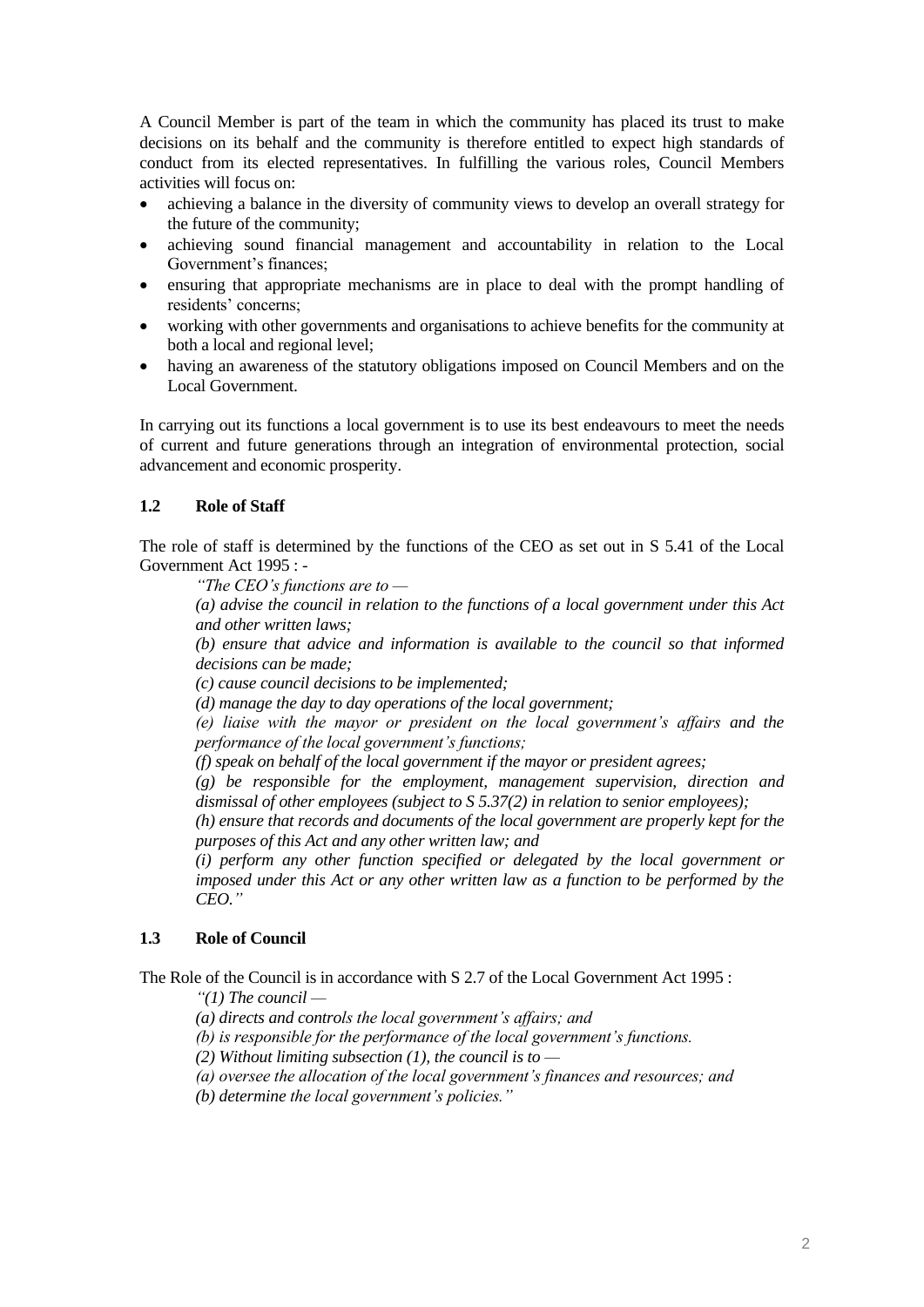A Council Member is part of the team in which the community has placed its trust to make decisions on its behalf and the community is therefore entitled to expect high standards of conduct from its elected representatives. In fulfilling the various roles, Council Members activities will focus on:

- achieving a balance in the diversity of community views to develop an overall strategy for the future of the community;
- achieving sound financial management and accountability in relation to the Local Government's finances;
- ensuring that appropriate mechanisms are in place to deal with the prompt handling of residents' concerns;
- working with other governments and organisations to achieve benefits for the community at both a local and regional level;
- having an awareness of the statutory obligations imposed on Council Members and on the Local Government.

In carrying out its functions a local government is to use its best endeavours to meet the needs of current and future generations through an integration of environmental protection, social advancement and economic prosperity.

## **1.2 Role of Staff**

The role of staff is determined by the functions of the CEO as set out in S 5.41 of the Local Government Act 1995 : -

*"The CEO's functions are to —*

*(a) advise the council in relation to the functions of a local government under this Act and other written laws;* 

*(b) ensure that advice and information is available to the council so that informed decisions can be made;* 

*(c) cause council decisions to be implemented;* 

*(d) manage the day to day operations of the local government;* 

*(e) liaise with the mayor or president on the local government's affairs and the performance of the local government's functions;* 

*(f) speak on behalf of the local government if the mayor or president agrees;* 

*(g) be responsible for the employment, management supervision, direction and dismissal of other employees (subject to S 5.37(2) in relation to senior employees);* 

*(h) ensure that records and documents of the local government are properly kept for the purposes of this Act and any other written law; and* 

*(i) perform any other function specified or delegated by the local government or imposed under this Act or any other written law as a function to be performed by the CEO."*

## **1.3 Role of Council**

The Role of the Council is in accordance with S 2.7 of the Local Government Act 1995 :

*"(1) The council —*

*(a) directs and controls the local government's affairs; and* 

*(b) is responsible for the performance of the local government's functions.* 

*(2) Without limiting subsection (1), the council is to —*

*(a) oversee the allocation of the local government's finances and resources; and* 

*(b) determine the local government's policies."*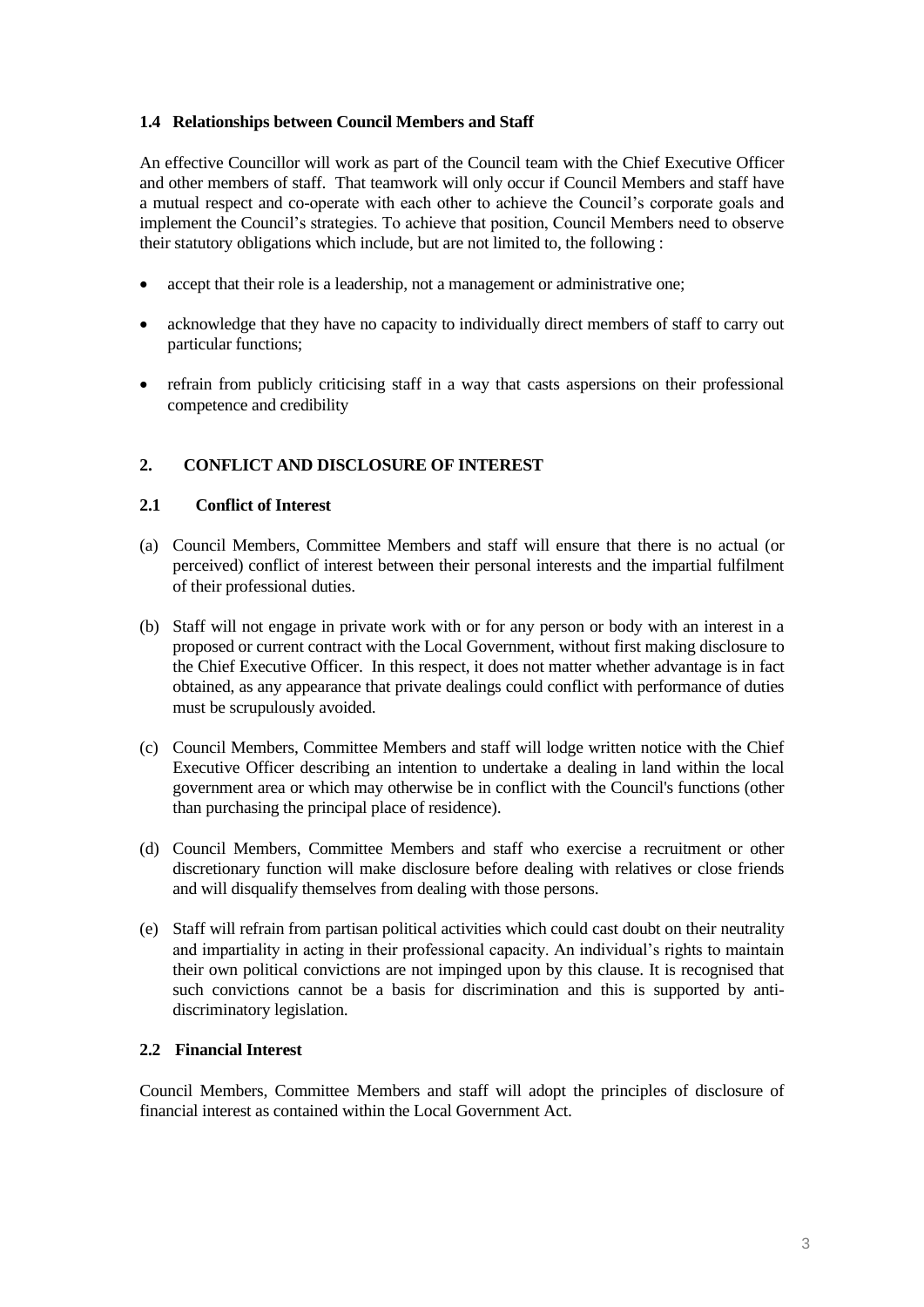## **1.4 Relationships between Council Members and Staff**

An effective Councillor will work as part of the Council team with the Chief Executive Officer and other members of staff. That teamwork will only occur if Council Members and staff have a mutual respect and co-operate with each other to achieve the Council's corporate goals and implement the Council's strategies. To achieve that position, Council Members need to observe their statutory obligations which include, but are not limited to, the following :

- accept that their role is a leadership, not a management or administrative one;
- acknowledge that they have no capacity to individually direct members of staff to carry out particular functions;
- refrain from publicly criticising staff in a way that casts aspersions on their professional competence and credibility

## **2. CONFLICT AND DISCLOSURE OF INTEREST**

## **2.1 Conflict of Interest**

- (a) Council Members, Committee Members and staff will ensure that there is no actual (or perceived) conflict of interest between their personal interests and the impartial fulfilment of their professional duties.
- (b) Staff will not engage in private work with or for any person or body with an interest in a proposed or current contract with the Local Government, without first making disclosure to the Chief Executive Officer. In this respect, it does not matter whether advantage is in fact obtained, as any appearance that private dealings could conflict with performance of duties must be scrupulously avoided.
- (c) Council Members, Committee Members and staff will lodge written notice with the Chief Executive Officer describing an intention to undertake a dealing in land within the local government area or which may otherwise be in conflict with the Council's functions (other than purchasing the principal place of residence).
- (d) Council Members, Committee Members and staff who exercise a recruitment or other discretionary function will make disclosure before dealing with relatives or close friends and will disqualify themselves from dealing with those persons.
- (e) Staff will refrain from partisan political activities which could cast doubt on their neutrality and impartiality in acting in their professional capacity. An individual's rights to maintain their own political convictions are not impinged upon by this clause. It is recognised that such convictions cannot be a basis for discrimination and this is supported by antidiscriminatory legislation.

#### **2.2 Financial Interest**

Council Members, Committee Members and staff will adopt the principles of disclosure of financial interest as contained within the Local Government Act.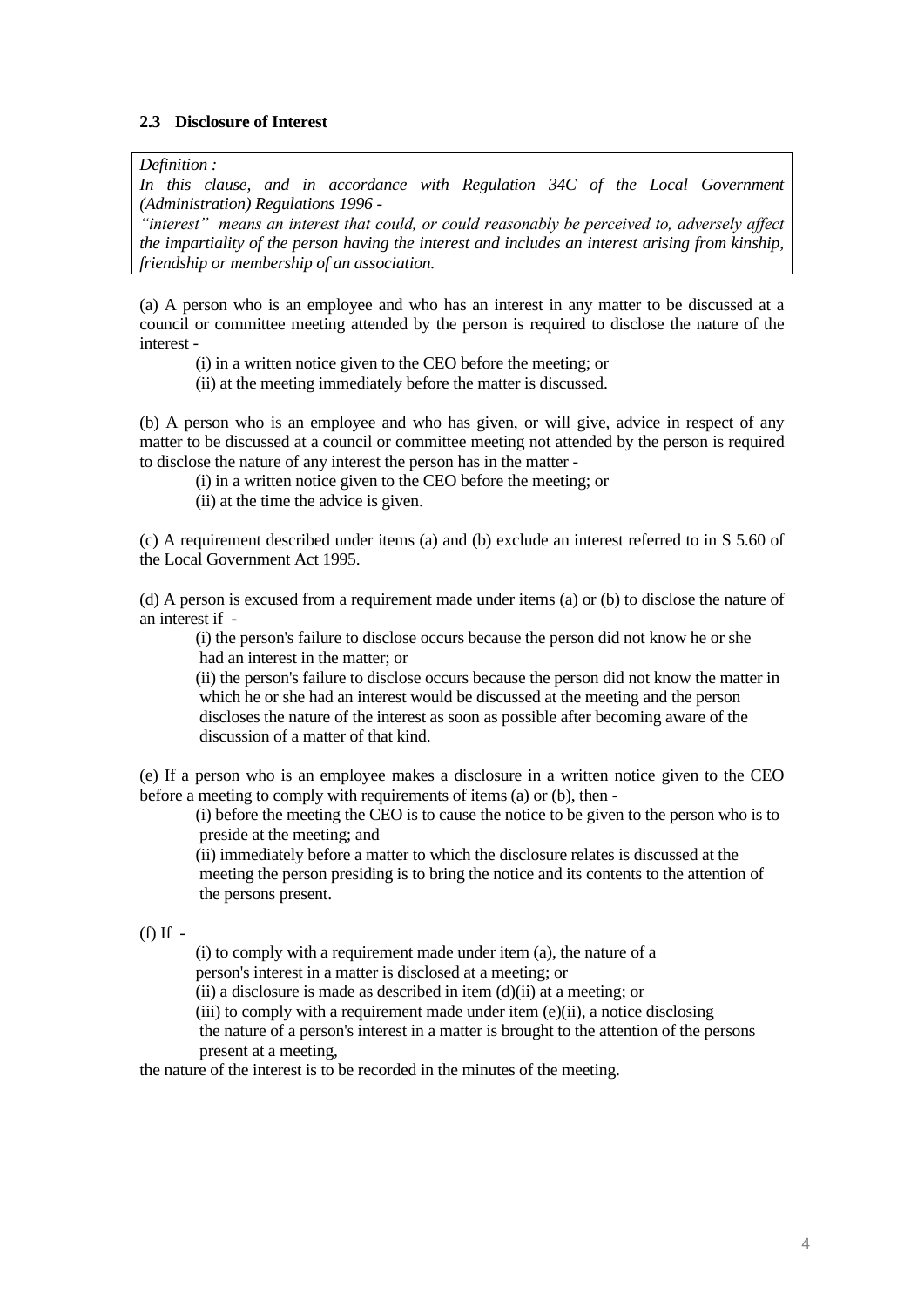#### **2.3 Disclosure of Interest**

*Definition :*

*In this clause, and in accordance with Regulation 34C of the Local Government (Administration) Regulations 1996 -*

*"interest" means an interest that could, or could reasonably be perceived to, adversely affect the impartiality of the person having the interest and includes an interest arising from kinship, friendship or membership of an association.* 

(a) A person who is an employee and who has an interest in any matter to be discussed at a council or committee meeting attended by the person is required to disclose the nature of the interest -

(i) in a written notice given to the CEO before the meeting; or

(ii) at the meeting immediately before the matter is discussed.

(b) A person who is an employee and who has given, or will give, advice in respect of any matter to be discussed at a council or committee meeting not attended by the person is required to disclose the nature of any interest the person has in the matter -

(i) in a written notice given to the CEO before the meeting; or

(ii) at the time the advice is given.

(c) A requirement described under items (a) and (b) exclude an interest referred to in S 5.60 of the Local Government Act 1995.

(d) A person is excused from a requirement made under items (a) or (b) to disclose the nature of an interest if -

(i) the person's failure to disclose occurs because the person did not know he or she had an interest in the matter; or

(ii) the person's failure to disclose occurs because the person did not know the matter in which he or she had an interest would be discussed at the meeting and the person discloses the nature of the interest as soon as possible after becoming aware of the discussion of a matter of that kind.

(e) If a person who is an employee makes a disclosure in a written notice given to the CEO before a meeting to comply with requirements of items (a) or (b), then -

(i) before the meeting the CEO is to cause the notice to be given to the person who is to preside at the meeting; and

(ii) immediately before a matter to which the disclosure relates is discussed at the meeting the person presiding is to bring the notice and its contents to the attention of the persons present.

 $(f)$  If  $-$ 

(i) to comply with a requirement made under item (a), the nature of a person's interest in a matter is disclosed at a meeting; or

(ii) a disclosure is made as described in item  $(d)(ii)$  at a meeting; or

(iii) to comply with a requirement made under item (e)(ii), a notice disclosing

the nature of a person's interest in a matter is brought to the attention of the persons present at a meeting,

the nature of the interest is to be recorded in the minutes of the meeting.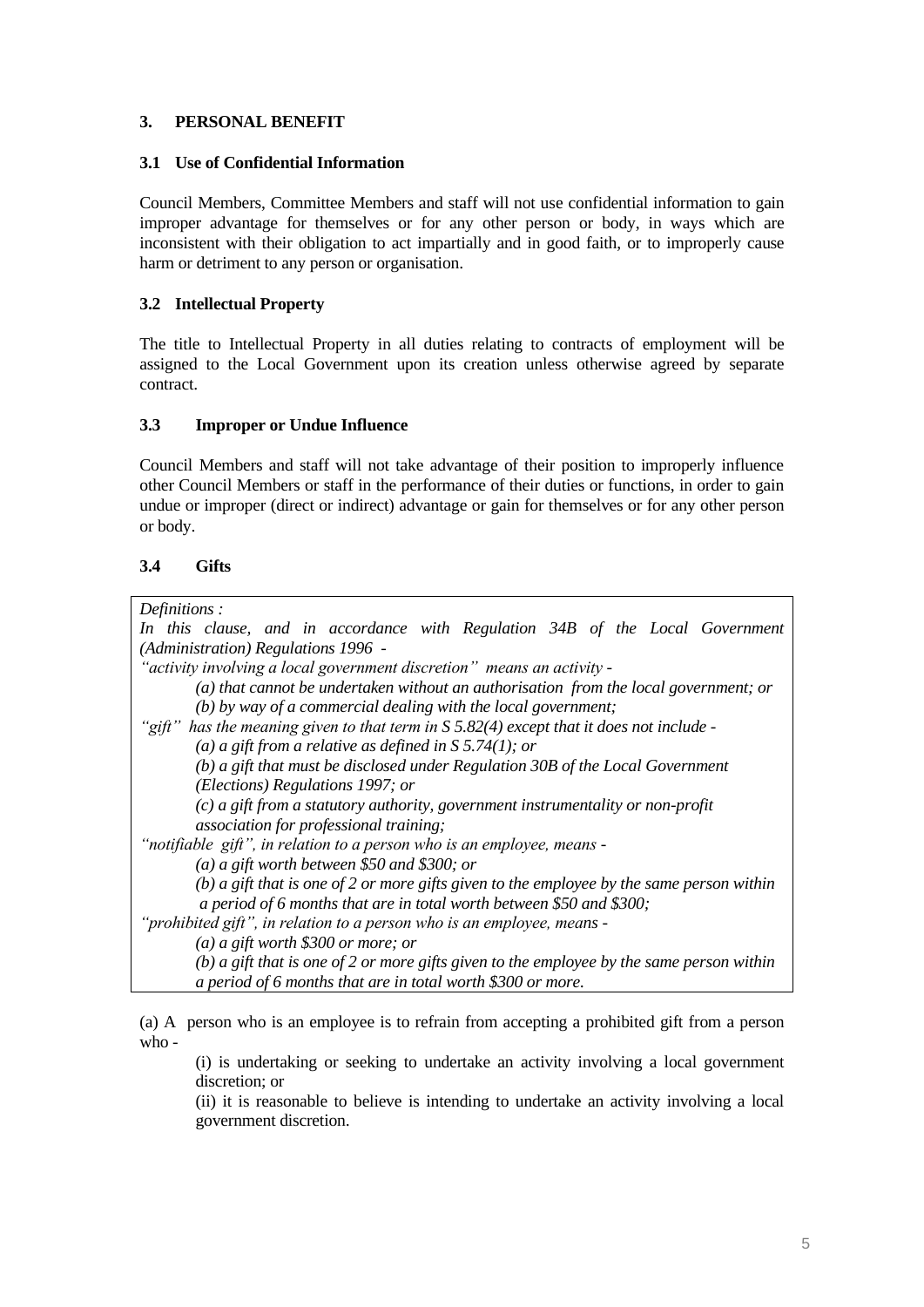## **3. PERSONAL BENEFIT**

#### **3.1 Use of Confidential Information**

Council Members, Committee Members and staff will not use confidential information to gain improper advantage for themselves or for any other person or body, in ways which are inconsistent with their obligation to act impartially and in good faith, or to improperly cause harm or detriment to any person or organisation.

#### **3.2 Intellectual Property**

The title to Intellectual Property in all duties relating to contracts of employment will be assigned to the Local Government upon its creation unless otherwise agreed by separate contract.

#### **3.3 Improper or Undue Influence**

Council Members and staff will not take advantage of their position to improperly influence other Council Members or staff in the performance of their duties or functions, in order to gain undue or improper (direct or indirect) advantage or gain for themselves or for any other person or body.

## **3.4 Gifts**

*Definitions :*

| $\nu$ c <sub>l</sub> utuvus.                                                               |
|--------------------------------------------------------------------------------------------|
| In this clause, and in accordance with Regulation 34B of the Local Government              |
| (Administration) Regulations 1996 -                                                        |
| "activity involving a local government discretion" means an activity -                     |
| (a) that cannot be undertaken without an authorisation from the local government; or       |
| $(b)$ by way of a commercial dealing with the local government;                            |
| "gift" has the meaning given to that term in $S$ 5.82(4) except that it does not include - |
| (a) a gift from a relative as defined in $S$ 5.74(1); or                                   |
| (b) a gift that must be disclosed under Regulation 30B of the Local Government             |
| (Elections) Regulations 1997; or                                                           |
| $(c)$ a gift from a statutory authority, government instrumentality or non-profit          |
| association for professional training;                                                     |
| "notifiable gift", in relation to a person who is an employee, means -                     |
| (a) a gift worth between \$50 and \$300; or                                                |
| (b) a gift that is one of 2 or more gifts given to the employee by the same person within  |
| a period of 6 months that are in total worth between \$50 and \$300;                       |
| "prohibited gift", in relation to a person who is an employee, means -                     |
| (a) a gift worth \$300 or more; or                                                         |
| (b) a gift that is one of 2 or more gifts given to the employee by the same person within  |
| a period of 6 months that are in total worth \$300 or more.                                |

(a) A person who is an employee is to refrain from accepting a prohibited gift from a person who -

(i) is undertaking or seeking to undertake an activity involving a local government discretion; or

(ii) it is reasonable to believe is intending to undertake an activity involving a local government discretion.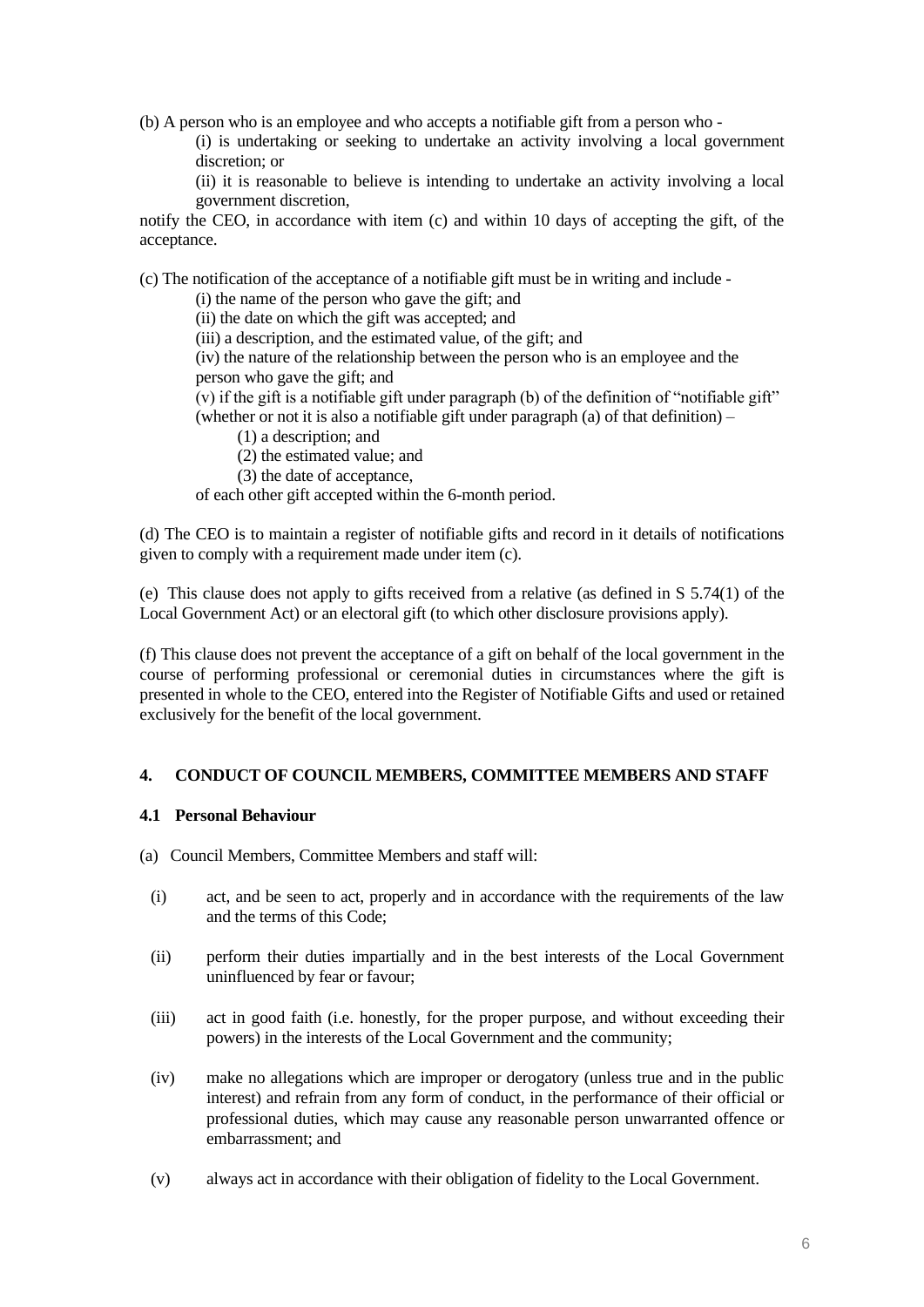(b) A person who is an employee and who accepts a notifiable gift from a person who -

(i) is undertaking or seeking to undertake an activity involving a local government discretion; or

(ii) it is reasonable to believe is intending to undertake an activity involving a local government discretion,

notify the CEO, in accordance with item (c) and within 10 days of accepting the gift, of the acceptance.

(c) The notification of the acceptance of a notifiable gift must be in writing and include -

(i) the name of the person who gave the gift; and

(ii) the date on which the gift was accepted; and

(iii) a description, and the estimated value, of the gift; and

(iv) the nature of the relationship between the person who is an employee and the person who gave the gift; and

(v) if the gift is a notifiable gift under paragraph (b) of the definition of "notifiable gift" (whether or not it is also a notifiable gift under paragraph (a) of that definition) –

(1) a description; and

(2) the estimated value; and

(3) the date of acceptance,

of each other gift accepted within the 6-month period.

(d) The CEO is to maintain a register of notifiable gifts and record in it details of notifications given to comply with a requirement made under item (c).

(e) This clause does not apply to gifts received from a relative (as defined in S 5.74(1) of the Local Government Act) or an electoral gift (to which other disclosure provisions apply).

(f) This clause does not prevent the acceptance of a gift on behalf of the local government in the course of performing professional or ceremonial duties in circumstances where the gift is presented in whole to the CEO, entered into the Register of Notifiable Gifts and used or retained exclusively for the benefit of the local government.

#### **4. CONDUCT OF COUNCIL MEMBERS, COMMITTEE MEMBERS AND STAFF**

## **4.1 Personal Behaviour**

(a) Council Members, Committee Members and staff will:

- (i) act, and be seen to act, properly and in accordance with the requirements of the law and the terms of this Code;
- (ii) perform their duties impartially and in the best interests of the Local Government uninfluenced by fear or favour;
- (iii) act in good faith (i.e. honestly, for the proper purpose, and without exceeding their powers) in the interests of the Local Government and the community;
- (iv) make no allegations which are improper or derogatory (unless true and in the public interest) and refrain from any form of conduct, in the performance of their official or professional duties, which may cause any reasonable person unwarranted offence or embarrassment; and
- (v) always act in accordance with their obligation of fidelity to the Local Government.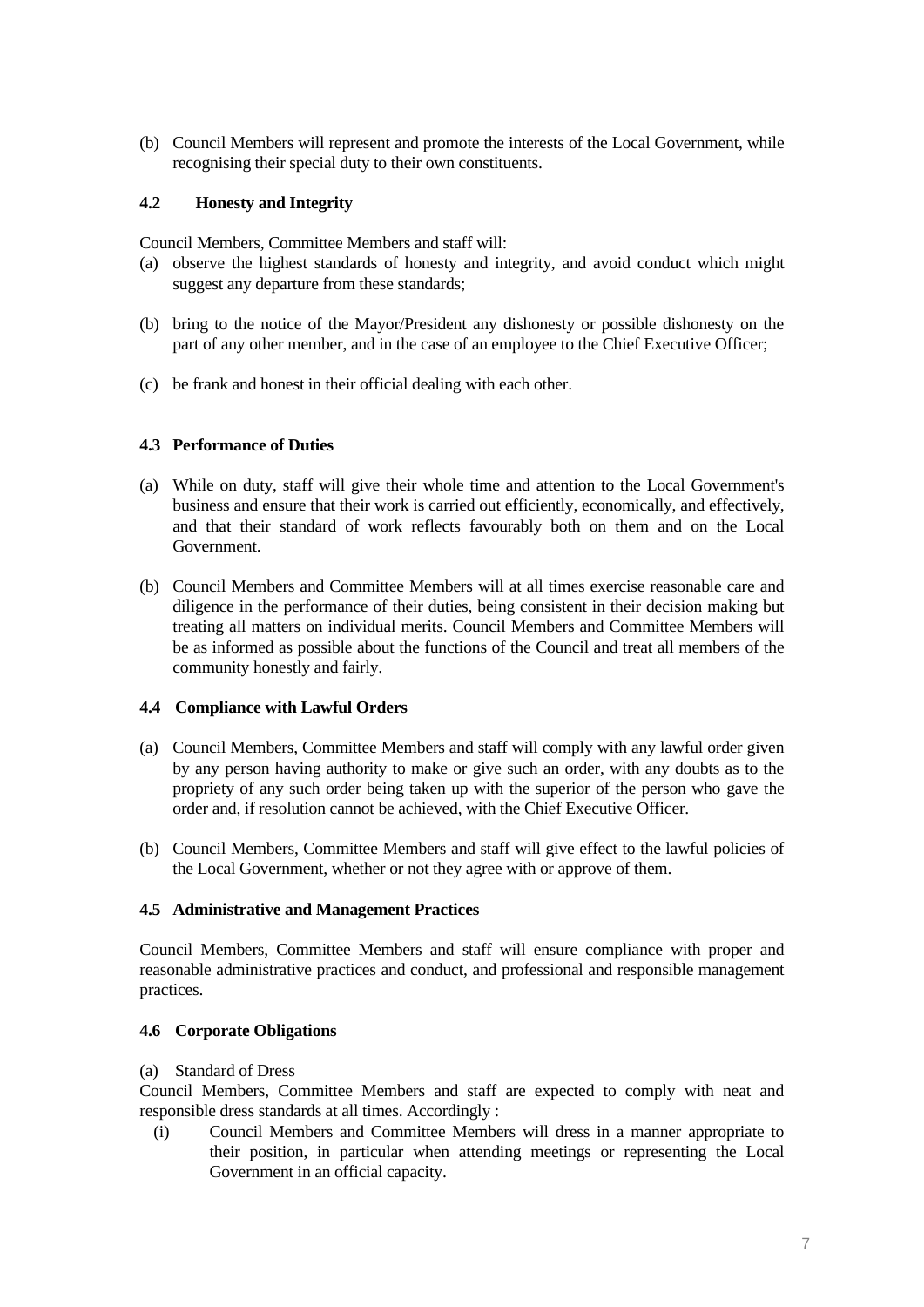(b) Council Members will represent and promote the interests of the Local Government, while recognising their special duty to their own constituents.

## **4.2 Honesty and Integrity**

Council Members, Committee Members and staff will:

- (a) observe the highest standards of honesty and integrity, and avoid conduct which might suggest any departure from these standards;
- (b) bring to the notice of the Mayor/President any dishonesty or possible dishonesty on the part of any other member, and in the case of an employee to the Chief Executive Officer;
- (c) be frank and honest in their official dealing with each other.

## **4.3 Performance of Duties**

- (a) While on duty, staff will give their whole time and attention to the Local Government's business and ensure that their work is carried out efficiently, economically, and effectively, and that their standard of work reflects favourably both on them and on the Local Government.
- (b) Council Members and Committee Members will at all times exercise reasonable care and diligence in the performance of their duties, being consistent in their decision making but treating all matters on individual merits. Council Members and Committee Members will be as informed as possible about the functions of the Council and treat all members of the community honestly and fairly.

## **4.4 Compliance with Lawful Orders**

- (a) Council Members, Committee Members and staff will comply with any lawful order given by any person having authority to make or give such an order, with any doubts as to the propriety of any such order being taken up with the superior of the person who gave the order and, if resolution cannot be achieved, with the Chief Executive Officer.
- (b) Council Members, Committee Members and staff will give effect to the lawful policies of the Local Government, whether or not they agree with or approve of them.

#### **4.5 Administrative and Management Practices**

Council Members, Committee Members and staff will ensure compliance with proper and reasonable administrative practices and conduct, and professional and responsible management practices.

#### **4.6 Corporate Obligations**

#### (a) Standard of Dress

Council Members, Committee Members and staff are expected to comply with neat and responsible dress standards at all times. Accordingly :

(i) Council Members and Committee Members will dress in a manner appropriate to their position, in particular when attending meetings or representing the Local Government in an official capacity.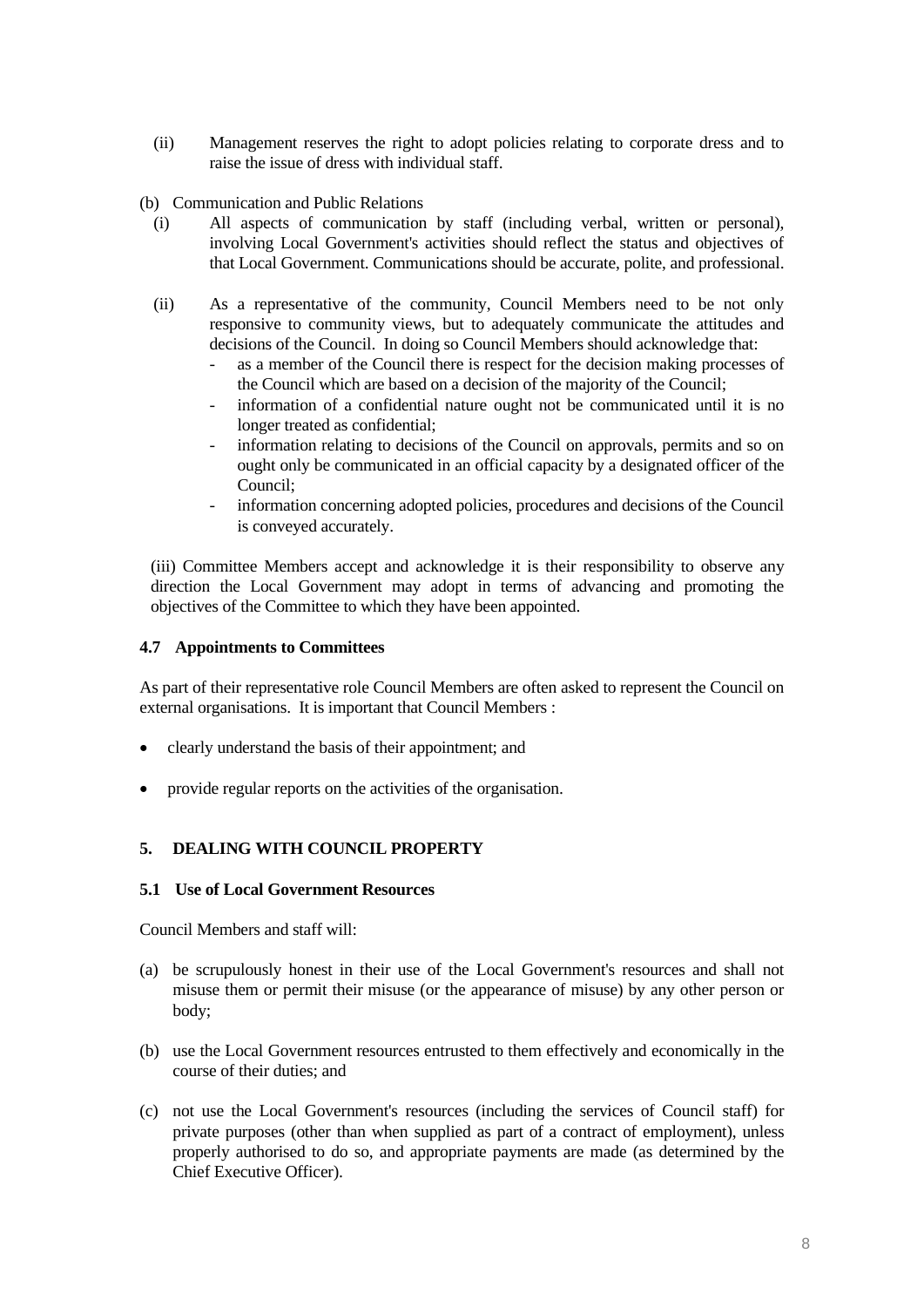- (ii) Management reserves the right to adopt policies relating to corporate dress and to raise the issue of dress with individual staff.
- (b) Communication and Public Relations
	- (i) All aspects of communication by staff (including verbal, written or personal), involving Local Government's activities should reflect the status and objectives of that Local Government. Communications should be accurate, polite, and professional.
	- (ii) As a representative of the community, Council Members need to be not only responsive to community views, but to adequately communicate the attitudes and decisions of the Council. In doing so Council Members should acknowledge that:
		- as a member of the Council there is respect for the decision making processes of the Council which are based on a decision of the majority of the Council;
		- information of a confidential nature ought not be communicated until it is no longer treated as confidential;
		- information relating to decisions of the Council on approvals, permits and so on ought only be communicated in an official capacity by a designated officer of the Council;
		- information concerning adopted policies, procedures and decisions of the Council is conveyed accurately.

(iii) Committee Members accept and acknowledge it is their responsibility to observe any direction the Local Government may adopt in terms of advancing and promoting the objectives of the Committee to which they have been appointed.

#### **4.7 Appointments to Committees**

As part of their representative role Council Members are often asked to represent the Council on external organisations. It is important that Council Members :

- clearly understand the basis of their appointment; and
- provide regular reports on the activities of the organisation.

## **5. DEALING WITH COUNCIL PROPERTY**

#### **5.1 Use of Local Government Resources**

Council Members and staff will:

- (a) be scrupulously honest in their use of the Local Government's resources and shall not misuse them or permit their misuse (or the appearance of misuse) by any other person or body;
- (b) use the Local Government resources entrusted to them effectively and economically in the course of their duties; and
- (c) not use the Local Government's resources (including the services of Council staff) for private purposes (other than when supplied as part of a contract of employment), unless properly authorised to do so, and appropriate payments are made (as determined by the Chief Executive Officer).